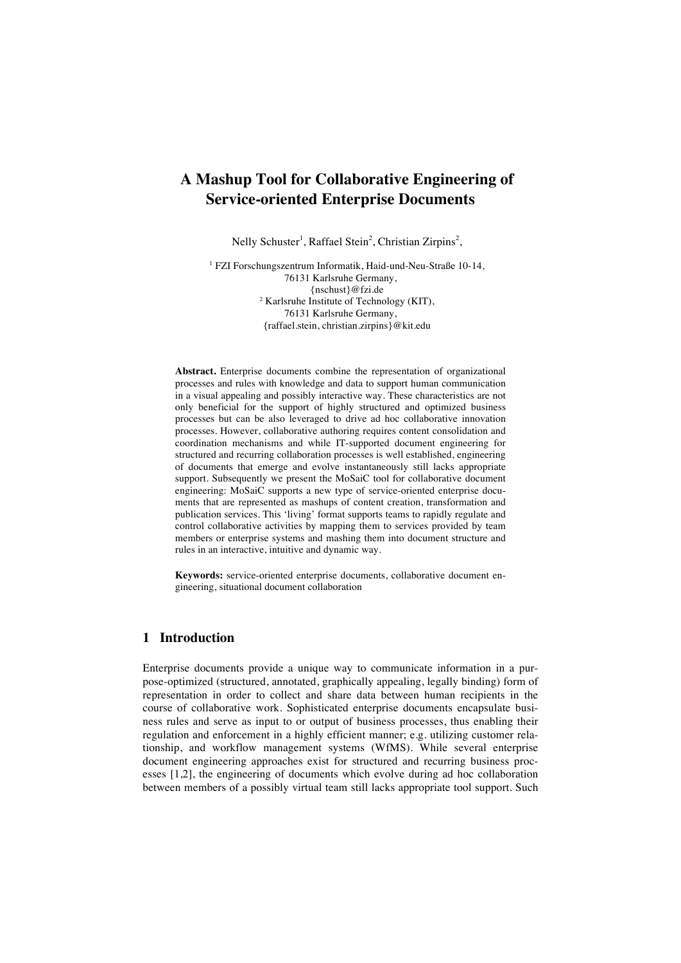# **A Mashup Tool for Collaborative Engineering of Service-oriented Enterprise Documents**

Nelly Schuster<sup>1</sup>, Raffael Stein<sup>2</sup>, Christian Zirpins<sup>2</sup>,

1 FZI Forschungszentrum Informatik, Haid-und-Neu-Straße 10-14, 76131 Karlsruhe Germany, {nschust}@fzi.de 2 Karlsruhe Institute of Technology (KIT), 76131 Karlsruhe Germany, {raffael.stein, christian.zirpins}@kit.edu

**Abstract.** Enterprise documents combine the representation of organizational processes and rules with knowledge and data to support human communication in a visual appealing and possibly interactive way. These characteristics are not only beneficial for the support of highly structured and optimized business processes but can be also leveraged to drive ad hoc collaborative innovation processes. However, collaborative authoring requires content consolidation and coordination mechanisms and while IT-supported document engineering for structured and recurring collaboration processes is well established, engineering of documents that emerge and evolve instantaneously still lacks appropriate support. Subsequently we present the MoSaiC tool for collaborative document engineering: MoSaiC supports a new type of service-oriented enterprise documents that are represented as mashups of content creation, transformation and publication services. This 'living' format supports teams to rapidly regulate and control collaborative activities by mapping them to services provided by team members or enterprise systems and mashing them into document structure and rules in an interactive, intuitive and dynamic way.

**Keywords:** service-oriented enterprise documents, collaborative document engineering, situational document collaboration

#### **1 Introduction**

Enterprise documents provide a unique way to communicate information in a purpose-optimized (structured, annotated, graphically appealing, legally binding) form of representation in order to collect and share data between human recipients in the course of collaborative work. Sophisticated enterprise documents encapsulate business rules and serve as input to or output of business processes, thus enabling their regulation and enforcement in a highly efficient manner; e.g. utilizing customer relationship, and workflow management systems (WfMS). While several enterprise document engineering approaches exist for structured and recurring business processes [1,2], the engineering of documents which evolve during ad hoc collaboration between members of a possibly virtual team still lacks appropriate tool support. Such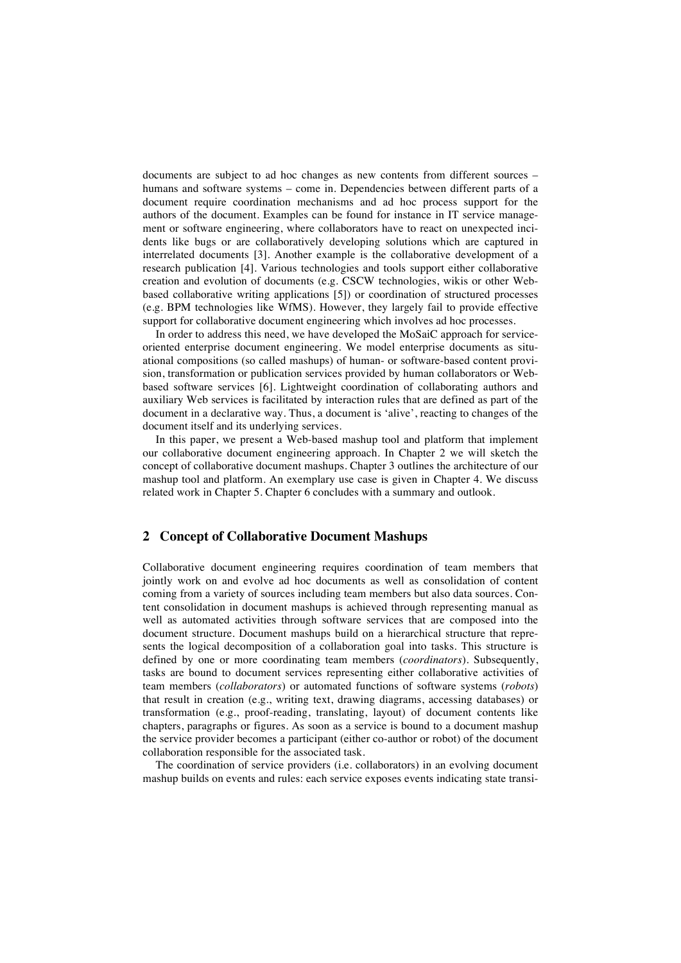documents are subject to ad hoc changes as new contents from different sources – humans and software systems – come in. Dependencies between different parts of a document require coordination mechanisms and ad hoc process support for the authors of the document. Examples can be found for instance in IT service management or software engineering, where collaborators have to react on unexpected incidents like bugs or are collaboratively developing solutions which are captured in interrelated documents [3]. Another example is the collaborative development of a research publication [4]. Various technologies and tools support either collaborative creation and evolution of documents (e.g. CSCW technologies, wikis or other Webbased collaborative writing applications [5]) or coordination of structured processes (e.g. BPM technologies like WfMS). However, they largely fail to provide effective support for collaborative document engineering which involves ad hoc processes.

In order to address this need, we have developed the MoSaiC approach for serviceoriented enterprise document engineering. We model enterprise documents as situational compositions (so called mashups) of human- or software-based content provision, transformation or publication services provided by human collaborators or Webbased software services [6]. Lightweight coordination of collaborating authors and auxiliary Web services is facilitated by interaction rules that are defined as part of the document in a declarative way. Thus, a document is 'alive', reacting to changes of the document itself and its underlying services.

In this paper, we present a Web-based mashup tool and platform that implement our collaborative document engineering approach. In Chapter 2 we will sketch the concept of collaborative document mashups. Chapter 3 outlines the architecture of our mashup tool and platform. An exemplary use case is given in Chapter 4. We discuss related work in Chapter 5. Chapter 6 concludes with a summary and outlook.

# **2 Concept of Collaborative Document Mashups**

Collaborative document engineering requires coordination of team members that jointly work on and evolve ad hoc documents as well as consolidation of content coming from a variety of sources including team members but also data sources. Content consolidation in document mashups is achieved through representing manual as well as automated activities through software services that are composed into the document structure. Document mashups build on a hierarchical structure that represents the logical decomposition of a collaboration goal into tasks. This structure is defined by one or more coordinating team members (*coordinators*). Subsequently, tasks are bound to document services representing either collaborative activities of team members (*collaborators*) or automated functions of software systems (*robots*) that result in creation (e.g., writing text, drawing diagrams, accessing databases) or transformation (e.g., proof-reading, translating, layout) of document contents like chapters, paragraphs or figures. As soon as a service is bound to a document mashup the service provider becomes a participant (either co-author or robot) of the document collaboration responsible for the associated task.

The coordination of service providers (i.e. collaborators) in an evolving document mashup builds on events and rules: each service exposes events indicating state transi-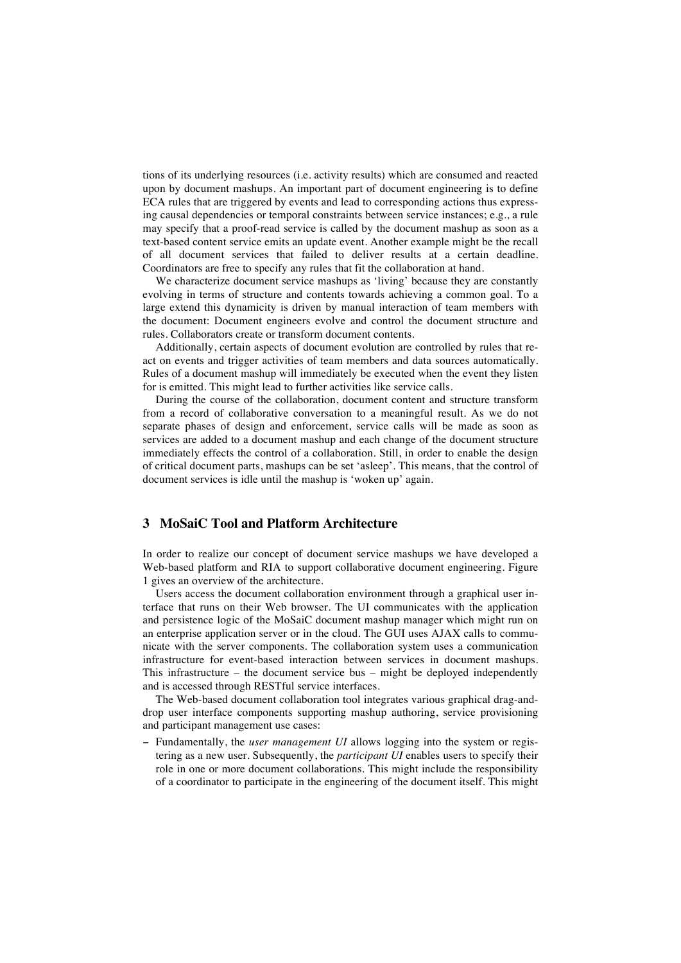tions of its underlying resources (i.e. activity results) which are consumed and reacted upon by document mashups. An important part of document engineering is to define ECA rules that are triggered by events and lead to corresponding actions thus expressing causal dependencies or temporal constraints between service instances; e.g., a rule may specify that a proof-read service is called by the document mashup as soon as a text-based content service emits an update event. Another example might be the recall of all document services that failed to deliver results at a certain deadline. Coordinators are free to specify any rules that fit the collaboration at hand.

We characterize document service mashups as 'living' because they are constantly evolving in terms of structure and contents towards achieving a common goal. To a large extend this dynamicity is driven by manual interaction of team members with the document: Document engineers evolve and control the document structure and rules. Collaborators create or transform document contents.

Additionally, certain aspects of document evolution are controlled by rules that react on events and trigger activities of team members and data sources automatically. Rules of a document mashup will immediately be executed when the event they listen for is emitted. This might lead to further activities like service calls.

During the course of the collaboration, document content and structure transform from a record of collaborative conversation to a meaningful result. As we do not separate phases of design and enforcement, service calls will be made as soon as services are added to a document mashup and each change of the document structure immediately effects the control of a collaboration. Still, in order to enable the design of critical document parts, mashups can be set 'asleep'. This means, that the control of document services is idle until the mashup is 'woken up' again.

# **3 MoSaiC Tool and Platform Architecture**

In order to realize our concept of document service mashups we have developed a Web-based platform and RIA to support collaborative document engineering. Figure 1 gives an overview of the architecture.

Users access the document collaboration environment through a graphical user interface that runs on their Web browser. The UI communicates with the application and persistence logic of the MoSaiC document mashup manager which might run on an enterprise application server or in the cloud. The GUI uses AJAX calls to communicate with the server components. The collaboration system uses a communication infrastructure for event-based interaction between services in document mashups. This infrastructure – the document service bus – might be deployed independently and is accessed through RESTful service interfaces.

The Web-based document collaboration tool integrates various graphical drag-anddrop user interface components supporting mashup authoring, service provisioning and participant management use cases:

− Fundamentally, the *user management UI* allows logging into the system or registering as a new user. Subsequently, the *participant UI* enables users to specify their role in one or more document collaborations. This might include the responsibility of a coordinator to participate in the engineering of the document itself. This might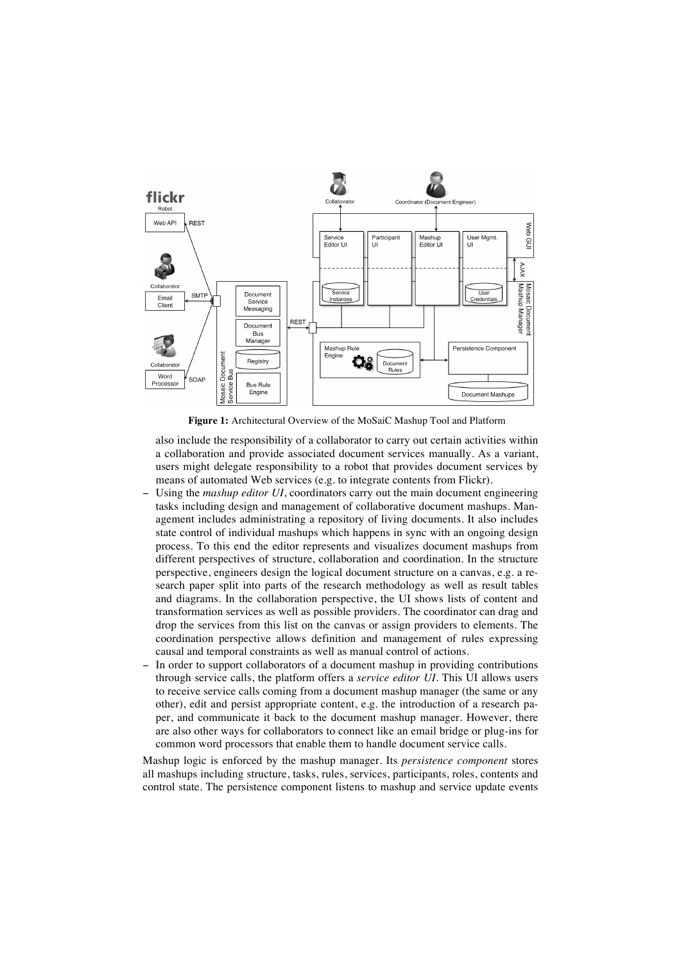

**Figure 1:** Architectural Overview of the MoSaiC Mashup Tool and Platform

also include the responsibility of a collaborator to carry out certain activities within a collaboration and provide associated document services manually. As a variant, users might delegate responsibility to a robot that provides document services by means of automated Web services (e.g. to integrate contents from Flickr).

- Using the *mashup editor UI*, coordinators carry out the main document engineering tasks including design and management of collaborative document mashups. Management includes administrating a repository of living documents. It also includes state control of individual mashups which happens in sync with an ongoing design process. To this end the editor represents and visualizes document mashups from different perspectives of structure, collaboration and coordination. In the structure perspective, engineers design the logical document structure on a canvas, e.g. a research paper split into parts of the research methodology as well as result tables and diagrams. In the collaboration perspective, the UI shows lists of content and transformation services as well as possible providers. The coordinator can drag and drop the services from this list on the canvas or assign providers to elements. The coordination perspective allows definition and management of rules expressing causal and temporal constraints as well as manual control of actions.
- In order to support collaborators of a document mashup in providing contributions through service calls, the platform offers a *service editor UI.* This UI allows users to receive service calls coming from a document mashup manager (the same or any other), edit and persist appropriate content, e.g. the introduction of a research paper, and communicate it back to the document mashup manager. However, there are also other ways for collaborators to connect like an email bridge or plug-ins for common word processors that enable them to handle document service calls.

Mashup logic is enforced by the mashup manager. Its *persistence component* stores all mashups including structure, tasks, rules, services, participants, roles, contents and control state. The persistence component listens to mashup and service update events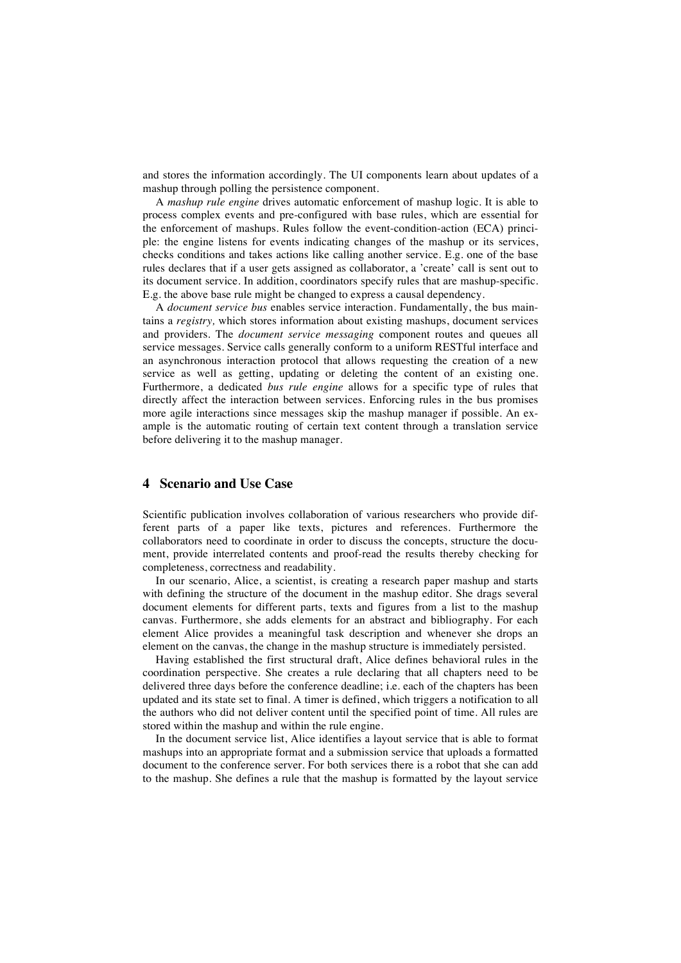and stores the information accordingly. The UI components learn about updates of a mashup through polling the persistence component.

A *mashup rule engine* drives automatic enforcement of mashup logic. It is able to process complex events and pre-configured with base rules, which are essential for the enforcement of mashups. Rules follow the event-condition-action (ECA) principle: the engine listens for events indicating changes of the mashup or its services, checks conditions and takes actions like calling another service. E.g. one of the base rules declares that if a user gets assigned as collaborator, a 'create' call is sent out to its document service. In addition, coordinators specify rules that are mashup-specific. E.g. the above base rule might be changed to express a causal dependency.

A *document service bus* enables service interaction. Fundamentally, the bus maintains a *registry,* which stores information about existing mashups, document services and providers. The *document service messaging* component routes and queues all service messages. Service calls generally conform to a uniform RESTful interface and an asynchronous interaction protocol that allows requesting the creation of a new service as well as getting, updating or deleting the content of an existing one. Furthermore, a dedicated *bus rule engine* allows for a specific type of rules that directly affect the interaction between services. Enforcing rules in the bus promises more agile interactions since messages skip the mashup manager if possible. An example is the automatic routing of certain text content through a translation service before delivering it to the mashup manager.

#### **4 Scenario and Use Case**

Scientific publication involves collaboration of various researchers who provide different parts of a paper like texts, pictures and references. Furthermore the collaborators need to coordinate in order to discuss the concepts, structure the document, provide interrelated contents and proof-read the results thereby checking for completeness, correctness and readability.

In our scenario, Alice, a scientist, is creating a research paper mashup and starts with defining the structure of the document in the mashup editor. She drags several document elements for different parts, texts and figures from a list to the mashup canvas. Furthermore, she adds elements for an abstract and bibliography. For each element Alice provides a meaningful task description and whenever she drops an element on the canvas, the change in the mashup structure is immediately persisted.

Having established the first structural draft, Alice defines behavioral rules in the coordination perspective. She creates a rule declaring that all chapters need to be delivered three days before the conference deadline; i.e. each of the chapters has been updated and its state set to final. A timer is defined, which triggers a notification to all the authors who did not deliver content until the specified point of time. All rules are stored within the mashup and within the rule engine.

In the document service list, Alice identifies a layout service that is able to format mashups into an appropriate format and a submission service that uploads a formatted document to the conference server. For both services there is a robot that she can add to the mashup. She defines a rule that the mashup is formatted by the layout service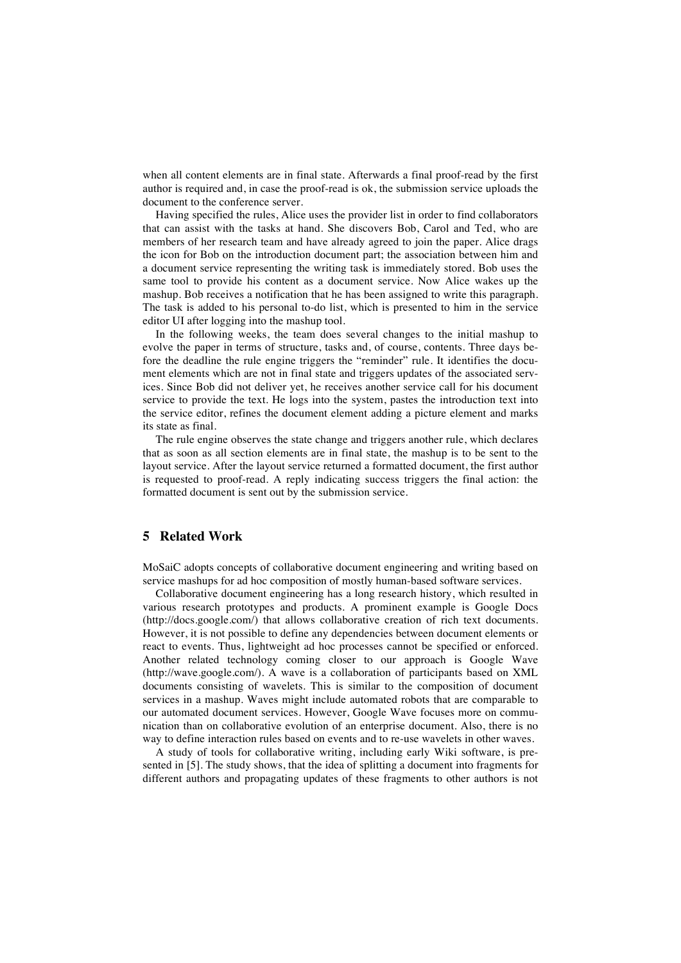when all content elements are in final state. Afterwards a final proof-read by the first author is required and, in case the proof-read is ok, the submission service uploads the document to the conference server.

Having specified the rules, Alice uses the provider list in order to find collaborators that can assist with the tasks at hand. She discovers Bob, Carol and Ted, who are members of her research team and have already agreed to join the paper. Alice drags the icon for Bob on the introduction document part; the association between him and a document service representing the writing task is immediately stored. Bob uses the same tool to provide his content as a document service. Now Alice wakes up the mashup. Bob receives a notification that he has been assigned to write this paragraph. The task is added to his personal to-do list, which is presented to him in the service editor UI after logging into the mashup tool.

In the following weeks, the team does several changes to the initial mashup to evolve the paper in terms of structure, tasks and, of course, contents. Three days before the deadline the rule engine triggers the "reminder" rule. It identifies the document elements which are not in final state and triggers updates of the associated services. Since Bob did not deliver yet, he receives another service call for his document service to provide the text. He logs into the system, pastes the introduction text into the service editor, refines the document element adding a picture element and marks its state as final.

The rule engine observes the state change and triggers another rule, which declares that as soon as all section elements are in final state, the mashup is to be sent to the layout service. After the layout service returned a formatted document, the first author is requested to proof-read. A reply indicating success triggers the final action: the formatted document is sent out by the submission service.

# **5 Related Work**

MoSaiC adopts concepts of collaborative document engineering and writing based on service mashups for ad hoc composition of mostly human-based software services.

Collaborative document engineering has a long research history, which resulted in various research prototypes and products. A prominent example is Google Docs (http://docs.google.com/) that allows collaborative creation of rich text documents. However, it is not possible to define any dependencies between document elements or react to events. Thus, lightweight ad hoc processes cannot be specified or enforced. Another related technology coming closer to our approach is Google Wave (http://wave.google.com/). A wave is a collaboration of participants based on XML documents consisting of wavelets. This is similar to the composition of document services in a mashup. Waves might include automated robots that are comparable to our automated document services. However, Google Wave focuses more on communication than on collaborative evolution of an enterprise document. Also, there is no way to define interaction rules based on events and to re-use wavelets in other waves.

A study of tools for collaborative writing, including early Wiki software, is presented in [5]. The study shows, that the idea of splitting a document into fragments for different authors and propagating updates of these fragments to other authors is not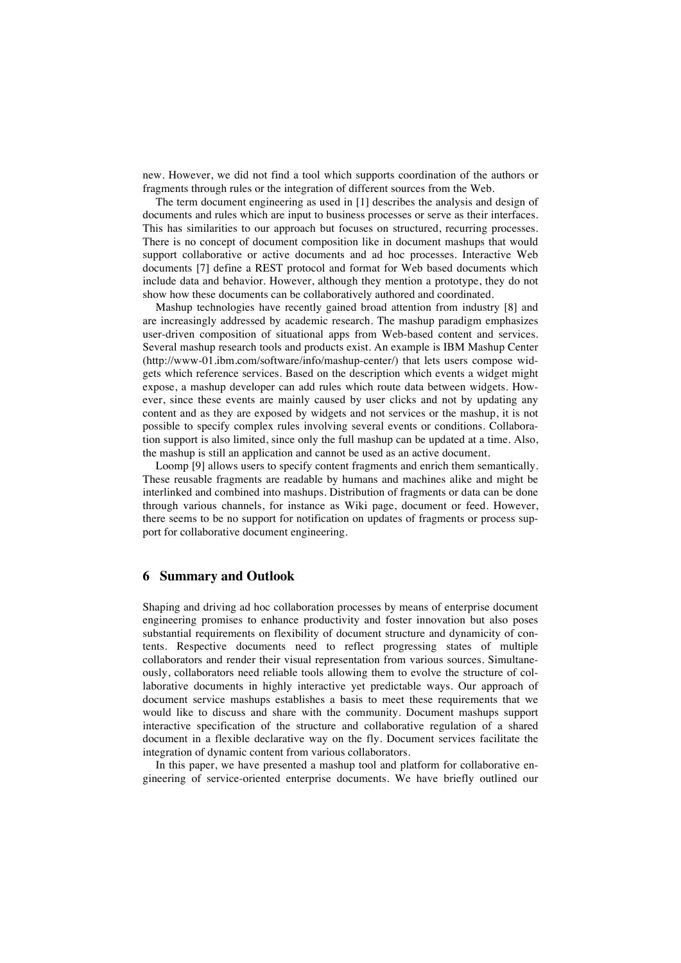new. However, we did not find a tool which supports coordination of the authors or fragments through rules or the integration of different sources from the Web.

The term document engineering as used in [1] describes the analysis and design of documents and rules which are input to business processes or serve as their interfaces. This has similarities to our approach but focuses on structured, recurring processes. There is no concept of document composition like in document mashups that would support collaborative or active documents and ad hoc processes. Interactive Web documents [7] define a REST protocol and format for Web based documents which include data and behavior. However, although they mention a prototype, they do not show how these documents can be collaboratively authored and coordinated.

Mashup technologies have recently gained broad attention from industry [8] and are increasingly addressed by academic research. The mashup paradigm emphasizes user-driven composition of situational apps from Web-based content and services. Several mashup research tools and products exist. An example is IBM Mashup Center (http://www-01.ibm.com/software/info/mashup-center/) that lets users compose widgets which reference services. Based on the description which events a widget might expose, a mashup developer can add rules which route data between widgets. However, since these events are mainly caused by user clicks and not by updating any content and as they are exposed by widgets and not services or the mashup, it is not possible to specify complex rules involving several events or conditions. Collaboration support is also limited, since only the full mashup can be updated at a time. Also, the mashup is still an application and cannot be used as an active document.

Loomp [9] allows users to specify content fragments and enrich them semantically. These reusable fragments are readable by humans and machines alike and might be interlinked and combined into mashups. Distribution of fragments or data can be done through various channels, for instance as Wiki page, document or feed. However, there seems to be no support for notification on updates of fragments or process support for collaborative document engineering.

#### **6 Summary and Outlook**

Shaping and driving ad hoc collaboration processes by means of enterprise document engineering promises to enhance productivity and foster innovation but also poses substantial requirements on flexibility of document structure and dynamicity of contents. Respective documents need to reflect progressing states of multiple collaborators and render their visual representation from various sources. Simultaneously, collaborators need reliable tools allowing them to evolve the structure of collaborative documents in highly interactive yet predictable ways. Our approach of document service mashups establishes a basis to meet these requirements that we would like to discuss and share with the community. Document mashups support interactive specification of the structure and collaborative regulation of a shared document in a flexible declarative way on the fly. Document services facilitate the integration of dynamic content from various collaborators.

In this paper, we have presented a mashup tool and platform for collaborative engineering of service-oriented enterprise documents. We have briefly outlined our